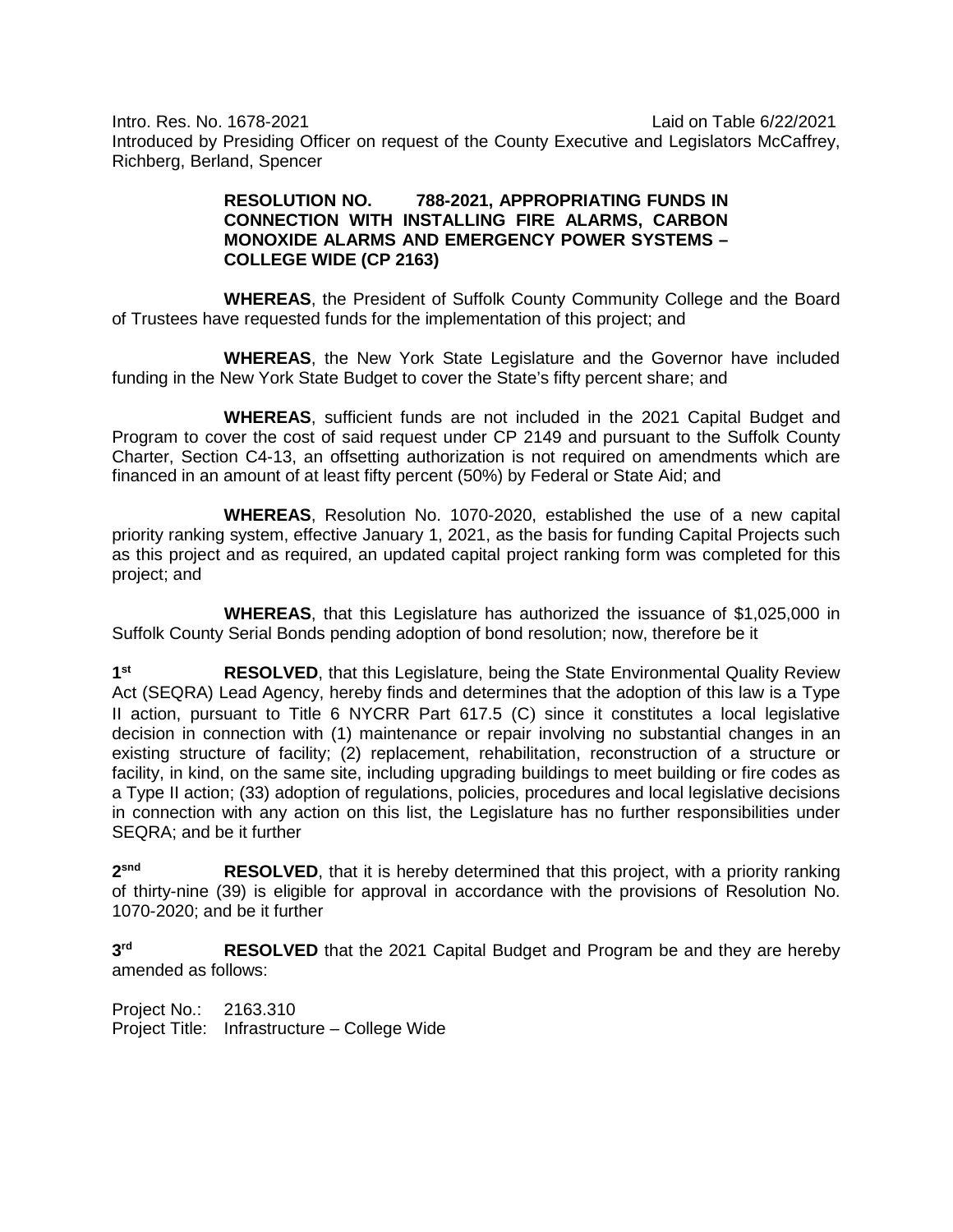Intro. Res. No. 1678-2021 Laid on Table 6/22/2021 Introduced by Presiding Officer on request of the County Executive and Legislators McCaffrey, Richberg, Berland, Spencer

## **RESOLUTION NO. 788-2021, APPROPRIATING FUNDS IN CONNECTION WITH INSTALLING FIRE ALARMS, CARBON MONOXIDE ALARMS AND EMERGENCY POWER SYSTEMS – COLLEGE WIDE (CP 2163)**

**WHEREAS**, the President of Suffolk County Community College and the Board of Trustees have requested funds for the implementation of this project; and

**WHEREAS**, the New York State Legislature and the Governor have included funding in the New York State Budget to cover the State's fifty percent share; and

**WHEREAS**, sufficient funds are not included in the 2021 Capital Budget and Program to cover the cost of said request under CP 2149 and pursuant to the Suffolk County Charter, Section C4-13, an offsetting authorization is not required on amendments which are financed in an amount of at least fifty percent (50%) by Federal or State Aid; and

**WHEREAS**, Resolution No. 1070-2020, established the use of a new capital priority ranking system, effective January 1, 2021, as the basis for funding Capital Projects such as this project and as required, an updated capital project ranking form was completed for this project; and

**WHEREAS**, that this Legislature has authorized the issuance of \$1,025,000 in Suffolk County Serial Bonds pending adoption of bond resolution; now, therefore be it

**1st RESOLVED**, that this Legislature, being the State Environmental Quality Review Act (SEQRA) Lead Agency, hereby finds and determines that the adoption of this law is a Type II action, pursuant to Title 6 NYCRR Part 617.5 (C) since it constitutes a local legislative decision in connection with (1) maintenance or repair involving no substantial changes in an existing structure of facility; (2) replacement, rehabilitation, reconstruction of a structure or facility, in kind, on the same site, including upgrading buildings to meet building or fire codes as a Type II action; (33) adoption of regulations, policies, procedures and local legislative decisions in connection with any action on this list, the Legislature has no further responsibilities under SEQRA; and be it further

**2snd RESOLVED**, that it is hereby determined that this project, with a priority ranking of thirty-nine (39) is eligible for approval in accordance with the provisions of Resolution No. 1070-2020; and be it further

**3rd RESOLVED** that the 2021 Capital Budget and Program be and they are hereby amended as follows:

Project No.: 2163.310 Project Title: Infrastructure – College Wide